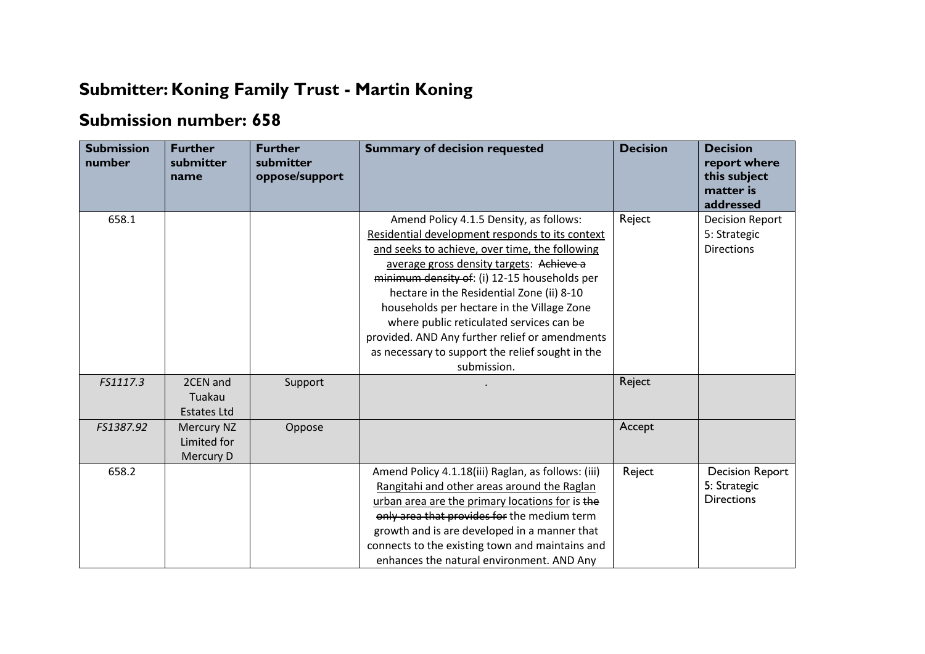## **Submitter: Koning Family Trust - Martin Koning**

## **Submission number: 658**

| <b>Submission</b><br>number | <b>Further</b><br>submitter<br>name      | <b>Further</b><br>submitter<br>oppose/support | <b>Summary of decision requested</b>                                                                                                                                                                                                                                                                                                                                                                                                                                                                 | <b>Decision</b> | <b>Decision</b><br>report where<br>this subject<br>matter is<br>addressed |
|-----------------------------|------------------------------------------|-----------------------------------------------|------------------------------------------------------------------------------------------------------------------------------------------------------------------------------------------------------------------------------------------------------------------------------------------------------------------------------------------------------------------------------------------------------------------------------------------------------------------------------------------------------|-----------------|---------------------------------------------------------------------------|
| 658.1                       |                                          |                                               | Amend Policy 4.1.5 Density, as follows:<br>Residential development responds to its context<br>and seeks to achieve, over time, the following<br>average gross density targets: Achieve a<br>minimum density of: (i) 12-15 households per<br>hectare in the Residential Zone (ii) 8-10<br>households per hectare in the Village Zone<br>where public reticulated services can be<br>provided. AND Any further relief or amendments<br>as necessary to support the relief sought in the<br>submission. | Reject          | <b>Decision Report</b><br>5: Strategic<br><b>Directions</b>               |
| FS1117.3                    | 2CEN and<br>Tuakau<br><b>Estates Ltd</b> | Support                                       |                                                                                                                                                                                                                                                                                                                                                                                                                                                                                                      | Reject          |                                                                           |
| FS1387.92                   | Mercury NZ<br>Limited for<br>Mercury D   | Oppose                                        |                                                                                                                                                                                                                                                                                                                                                                                                                                                                                                      | Accept          |                                                                           |
| 658.2                       |                                          |                                               | Amend Policy 4.1.18(iii) Raglan, as follows: (iii)<br>Rangitahi and other areas around the Raglan<br>urban area are the primary locations for is the<br>only area that provides for the medium term<br>growth and is are developed in a manner that<br>connects to the existing town and maintains and<br>enhances the natural environment. AND Any                                                                                                                                                  | Reject          | <b>Decision Report</b><br>5: Strategic<br><b>Directions</b>               |